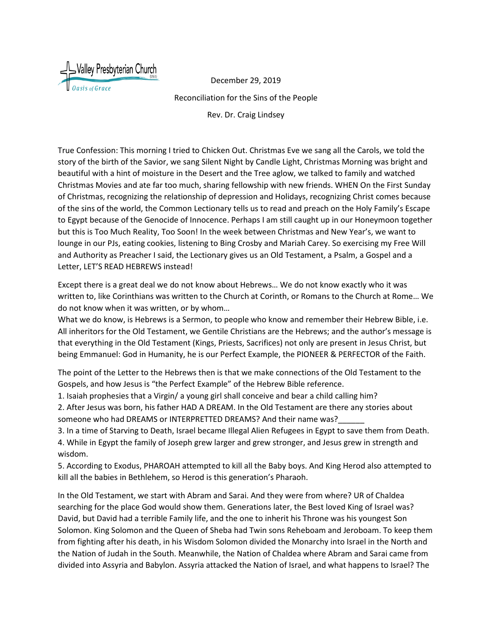

December 29, 2019 Reconciliation for the Sins of the People

Rev. Dr. Craig Lindsey

True Confession: This morning I tried to Chicken Out. Christmas Eve we sang all the Carols, we told the story of the birth of the Savior, we sang Silent Night by Candle Light, Christmas Morning was bright and beautiful with a hint of moisture in the Desert and the Tree aglow, we talked to family and watched Christmas Movies and ate far too much, sharing fellowship with new friends. WHEN On the First Sunday of Christmas, recognizing the relationship of depression and Holidays, recognizing Christ comes because of the sins of the world, the Common Lectionary tells us to read and preach on the Holy Family's Escape to Egypt because of the Genocide of Innocence. Perhaps I am still caught up in our Honeymoon together but this is Too Much Reality, Too Soon! In the week between Christmas and New Year's, we want to lounge in our PJs, eating cookies, listening to Bing Crosby and Mariah Carey. So exercising my Free Will and Authority as Preacher I said, the Lectionary gives us an Old Testament, a Psalm, a Gospel and a Letter, LET'S READ HEBREWS instead!

Except there is a great deal we do not know about Hebrews… We do not know exactly who it was written to, like Corinthians was written to the Church at Corinth, or Romans to the Church at Rome… We do not know when it was written, or by whom…

What we do know, is Hebrews is a Sermon, to people who know and remember their Hebrew Bible, i.e. All inheritors for the Old Testament, we Gentile Christians are the Hebrews; and the author's message is that everything in the Old Testament (Kings, Priests, Sacrifices) not only are present in Jesus Christ, but being Emmanuel: God in Humanity, he is our Perfect Example, the PIONEER & PERFECTOR of the Faith.

The point of the Letter to the Hebrews then is that we make connections of the Old Testament to the Gospels, and how Jesus is "the Perfect Example" of the Hebrew Bible reference.

1. Isaiah prophesies that a Virgin/ a young girl shall conceive and bear a child calling him?

2. After Jesus was born, his father HAD A DREAM. In the Old Testament are there any stories about someone who had DREAMS or INTERPRETTED DREAMS? And their name was?

3. In a time of Starving to Death, Israel became Illegal Alien Refugees in Egypt to save them from Death. 4. While in Egypt the family of Joseph grew larger and grew stronger, and Jesus grew in strength and wisdom. The contract of the contract of the contract of the contract of the contract of the contract of the contract of the contract of the contract of the contract of the contract of the contract of the contract of the co

5. According to Exodus, PHAROAH attempted to kill all the Baby boys. And King Herod also attempted to kill all the babies in Bethlehem, so Herod is this generation's Pharaoh.

In the Old Testament, we start with Abram and Sarai. And they were from where? UR of Chaldea searching for the place God would show them. Generations later, the Best loved King of Israel was? David, but David had a terrible Family life, and the one to inherit his Throne was his youngest Son Solomon. King Solomon and the Queen of Sheba had Twin sons Reheboam and Jeroboam. To keep them from fighting after his death, in his Wisdom Solomon divided the Monarchy into Israel in the North and the Nation of Judah in the South. Meanwhile, the Nation of Chaldea where Abram and Sarai came from divided into Assyria and Babylon. Assyria attacked the Nation of Israel, and what happens to Israel? The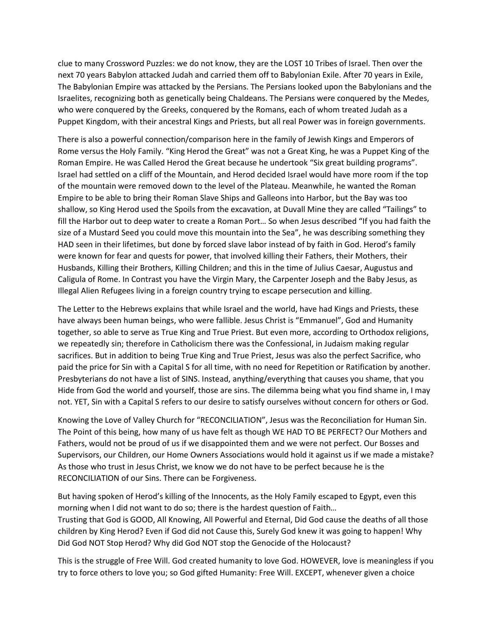clue to many Crossword Puzzles: we do not know, they are the LOST 10 Tribes of Israel. Then over the next 70 years Babylon attacked Judah and carried them off to Babylonian Exile. After 70 years in Exile, The Babylonian Empire was attacked by the Persians. The Persians looked upon the Babylonians and the Israelites, recognizing both as genetically being Chaldeans. The Persians were conquered by the Medes, who were conquered by the Greeks, conquered by the Romans, each of whom treated Judah as a Puppet Kingdom, with their ancestral Kings and Priests, but all real Power was in foreign governments.

There is also a powerful connection/comparison here in the family of Jewish Kings and Emperors of Rome versus the Holy Family. "King Herod the Great" was not a Great King, he was a Puppet King of the Roman Empire. He was Called Herod the Great because he undertook "Six great building programs". Israel had settled on a cliff of the Mountain, and Herod decided Israel would have more room if the top of the mountain were removed down to the level of the Plateau. Meanwhile, he wanted the Roman Empire to be able to bring their Roman Slave Ships and Galleons into Harbor, but the Bay was too shallow, so King Herod used the Spoils from the excavation, at Duvall Mine they are called "Tailings" to fill the Harbor out to deep water to create a Roman Port… So when Jesus described "If you had faith the size of a Mustard Seed you could move this mountain into the Sea", he was describing something they HAD seen in their lifetimes, but done by forced slave labor instead of by faith in God. Herod's family were known for fear and quests for power, that involved killing their Fathers, their Mothers, their Husbands, Killing their Brothers, Killing Children; and this in the time of Julius Caesar, Augustus and Caligula of Rome. In Contrast you have the Virgin Mary, the Carpenter Joseph and the Baby Jesus, as Illegal Alien Refugees living in a foreign country trying to escape persecution and killing.

The Letter to the Hebrews explains that while Israel and the world, have had Kings and Priests, these have always been human beings, who were fallible. Jesus Christ is "Emmanuel", God and Humanity together, so able to serve as True King and True Priest. But even more, according to Orthodox religions, we repeatedly sin; therefore in Catholicism there was the Confessional, in Judaism making regular sacrifices. But in addition to being True King and True Priest, Jesus was also the perfect Sacrifice, who paid the price for Sin with a Capital S for all time, with no need for Repetition or Ratification by another. Presbyterians do not have a list of SINS. Instead, anything/everything that causes you shame, that you Hide from God the world and yourself, those are sins. The dilemma being what you find shame in, I may not. YET, Sin with a Capital S refers to our desire to satisfy ourselves without concern for others or God.

Knowing the Love of Valley Church for "RECONCILIATION", Jesus was the Reconciliation for Human Sin. The Point of this being, how many of us have felt as though WE HAD TO BE PERFECT? Our Mothers and Fathers, would not be proud of us if we disappointed them and we were not perfect. Our Bosses and Supervisors, our Children, our Home Owners Associations would hold it against us if we made a mistake? As those who trust in Jesus Christ, we know we do not have to be perfect because he is the RECONCILIATION of our Sins. There can be Forgiveness.

But having spoken of Herod's killing of the Innocents, as the Holy Family escaped to Egypt, even this morning when I did not want to do so; there is the hardest question of Faith… Trusting that God is GOOD, All Knowing, All Powerful and Eternal, Did God cause the deaths of all those children by King Herod? Even if God did not Cause this, Surely God knew it was going to happen! Why Did God NOT Stop Herod? Why did God NOT stop the Genocide of the Holocaust?

This is the struggle of Free Will. God created humanity to love God. HOWEVER, love is meaningless if you try to force others to love you; so God gifted Humanity: Free Will. EXCEPT, whenever given a choice